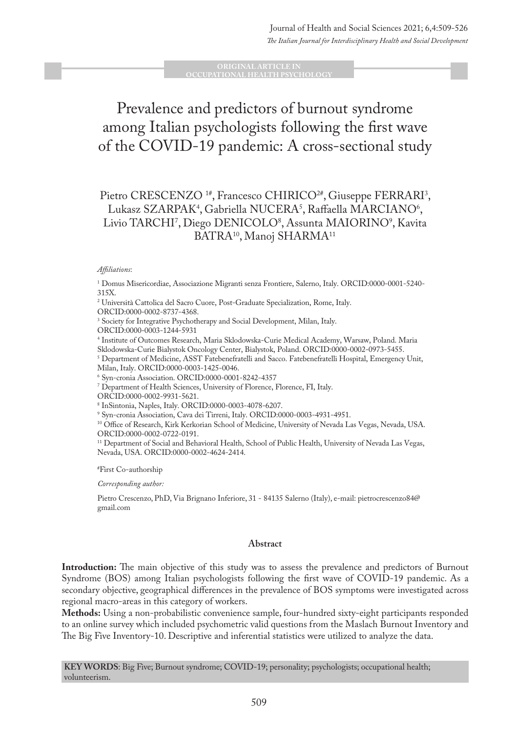#### **ORIGINAL ARTICLE IN OCCUPATIONAL HEALTH PSYCHOLOGY**

# Prevalence and predictors of burnout syndrome among Italian psychologists following the first wave of the COVID-19 pandemic: A cross-sectional study

# Pietro CRESCENZO <sup>1#</sup>, Francesco CHIRICO<sup>2#</sup>, Giuseppe FERRARI<sup>3</sup>, Lukasz SZARPAK<sup>4</sup>, Gabriella NUCERA<sup>5</sup>, Raffaella MARCIANO<sup>6</sup>, Livio TARCHI', Diego DENICOLO<sup>s</sup>, Assunta MAIORINO'', Kavita BATRA10, Manoj SHARMA11

#### *Affiliations*:

1 Domus Misericordiae, Associazione Migranti senza Frontiere, Salerno, Italy. ORCID:0000-0001-5240- 315X.

2 Università Cattolica del Sacro Cuore, Post-Graduate Specialization, Rome, Italy. ORCID:0000-0002-8737-4368.

3 Society for Integrative Psychotherapy and Social Development, Milan, Italy.

ORCID:0000-0003-1244-5931

4 Institute of Outcomes Research, Maria Sklodowska-Curie Medical Academy, Warsaw, Poland. Maria

Sklodowska-Curie Bialystok Oncology Center, Bialystok, Poland. ORCID:0000-0002-0973-5455.

 $^5$  Department of Medicine, ASST Fatebenefratelli and Sacco. Fatebenefratelli Hospital, Emergency Unit, Milan, Italy. ORCID:0000-0003-1425-0046.

6 Syn-cronia Association. ORCID:0000-0001-8242-4357

7 Department of Health Sciences, University of Florence, Florence, FI, Italy.

ORCID:0000-0002-9931-5621.

8 InSintonia, Naples, Italy. ORCID:0000-0003-4078-6207.

9 Syn-cronia Association, Cava dei Tirreni, Italy. ORCID:0000-0003-4931-4951.

10 Office of Research, Kirk Kerkorian School of Medicine, University of Nevada Las Vegas, Nevada, USA. ORCID:0000-0002-0722-0191.

<sup>11</sup> Department of Social and Behavioral Health, School of Public Health, University of Nevada Las Vegas, Nevada, USA. ORCID:0000-0002-4624-2414.

# First Co-authorship

*Corresponding author:* 

Pietro Crescenzo, PhD, Via Brignano Inferiore, 31 - 84135 Salerno (Italy), e-mail: pietrocrescenzo84@ gmail.com

#### **Abstract**

**Introduction:** The main objective of this study was to assess the prevalence and predictors of Burnout Syndrome (BOS) among Italian psychologists following the first wave of COVID-19 pandemic. As a secondary objective, geographical differences in the prevalence of BOS symptoms were investigated across regional macro-areas in this category of workers.

**Methods:** Using a non-probabilistic convenience sample, four-hundred sixty-eight participants responded to an online survey which included psychometric valid questions from the Maslach Burnout Inventory and The Big Five Inventory-10. Descriptive and inferential statistics were utilized to analyze the data.

**KEY WORDS**: Big Five; Burnout syndrome; COVID-19; personality; psychologists; occupational health; volunteerism.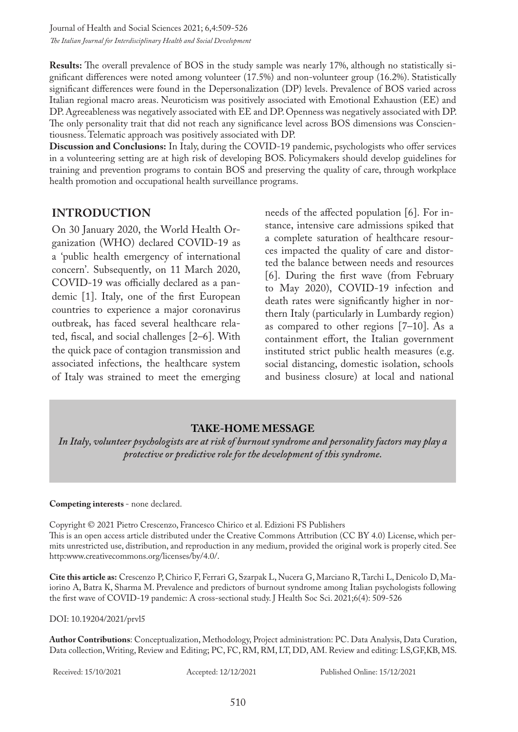Journal of Health and Social Sciences 2021; 6,4:509-526 *The Italian Journal for Interdisciplinary Health and Social Development*

**Results:** The overall prevalence of BOS in the study sample was nearly 17%, although no statistically significant differences were noted among volunteer (17.5%) and non-volunteer group (16.2%). Statistically significant differences were found in the Depersonalization (DP) levels. Prevalence of BOS varied across Italian regional macro areas. Neuroticism was positively associated with Emotional Exhaustion (EE) and DP. Agreeableness was negatively associated with EE and DP. Openness was negatively associated with DP. The only personality trait that did not reach any significance level across BOS dimensions was Conscientiousness. Telematic approach was positively associated with DP.

**Discussion and Conclusions:** In Italy, during the COVID-19 pandemic, psychologists who offer services in a volunteering setting are at high risk of developing BOS. Policymakers should develop guidelines for training and prevention programs to contain BOS and preserving the quality of care, through workplace health promotion and occupational health surveillance programs.

## **INTRODUCTION**

On 30 January 2020, the World Health Organization (WHO) declared COVID-19 as a 'public health emergency of international concern'. Subsequently, on 11 March 2020, COVID-19 was officially declared as a pandemic [1]. Italy, one of the first European countries to experience a major coronavirus outbreak, has faced several healthcare related, fiscal, and social challenges [2–6]. With the quick pace of contagion transmission and associated infections, the healthcare system of Italy was strained to meet the emerging

needs of the affected population [6]. For instance, intensive care admissions spiked that a complete saturation of healthcare resources impacted the quality of care and distorted the balance between needs and resources [6]. During the first wave (from February to May 2020), COVID-19 infection and death rates were significantly higher in northern Italy (particularly in Lumbardy region) as compared to other regions [7–10]. As a containment effort, the Italian government instituted strict public health measures (e.g. social distancing, domestic isolation, schools and business closure) at local and national

#### **TAKE-HOME MESSAGE**

*In Italy, volunteer psychologists are at risk of burnout syndrome and personality factors may play a protective or predictive role for the development of this syndrome.*

#### **Competing interests** - none declared.

Copyright © 2021 Pietro Crescenzo, Francesco Chirico et al. Edizioni FS Publishers This is an open access article distributed under the Creative Commons Attribution (CC BY 4.0) License, which permits unrestricted use, distribution, and reproduction in any medium, provided the original work is properly cited. See http:www.creativecommons.org/licenses/by/4.0/.

**Cite this article as:** Crescenzo P, Chirico F, Ferrari G, Szarpak L, Nucera G, Marciano R, Tarchi L, Denicolo D, Maiorino A, Batra K, Sharma M. Prevalence and predictors of burnout syndrome among Italian psychologists following the first wave of COVID-19 pandemic: A cross-sectional study. J Health Soc Sci. 2021;6(4): 509-526

DOI: 10.19204/2021/prvl5

**Author Contributions**: Conceptualization, Methodology, Project administration: PC. Data Analysis, Data Curation, Data collection, Writing, Review and Editing; PC, FC, RM, RM, LT, DD, AM. Review and editing: LS,GF,KB, MS.

Received: 15/10/2021 Accepted: 12/12/2021 Published Online: 15/12/2021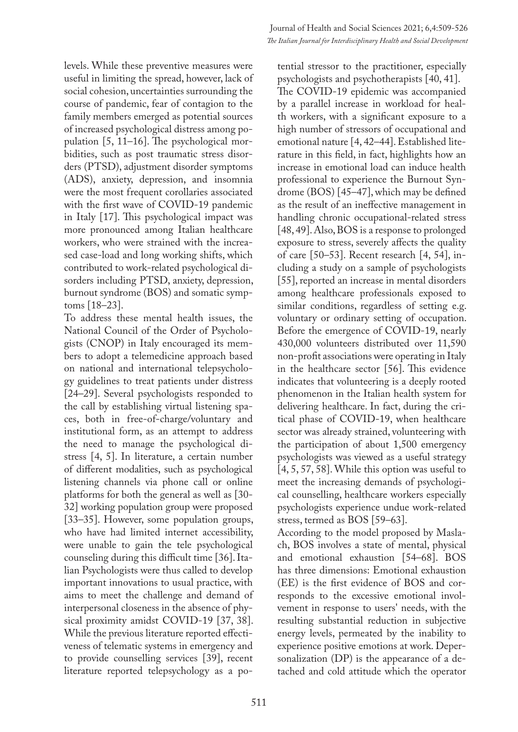levels. While these preventive measures were useful in limiting the spread, however, lack of social cohesion, uncertainties surrounding the course of pandemic, fear of contagion to the family members emerged as potential sources of increased psychological distress among population [5, 11–16]. The psychological morbidities, such as post traumatic stress disorders (PTSD), adjustment disorder symptoms (ADS), anxiety, depression, and insomnia were the most frequent corollaries associated with the first wave of COVID-19 pandemic in Italy [17]. This psychological impact was more pronounced among Italian healthcare workers, who were strained with the increased case-load and long working shifts, which contributed to work-related psychological disorders including PTSD, anxiety, depression, burnout syndrome (BOS) and somatic symptoms [18–23].

To address these mental health issues, the National Council of the Order of Psychologists (CNOP) in Italy encouraged its members to adopt a telemedicine approach based on national and international telepsychology guidelines to treat patients under distress [24–29]. Several psychologists responded to the call by establishing virtual listening spaces, both in free-of-charge/voluntary and institutional form, as an attempt to address the need to manage the psychological distress [4, 5]. In literature, a certain number of different modalities, such as psychological listening channels via phone call or online platforms for both the general as well as [30- 32] working population group were proposed [33–35]. However, some population groups, who have had limited internet accessibility, were unable to gain the tele psychological counseling during this difficult time [36]. Italian Psychologists were thus called to develop important innovations to usual practice, with aims to meet the challenge and demand of interpersonal closeness in the absence of physical proximity amidst COVID-19 [37, 38]. While the previous literature reported effectiveness of telematic systems in emergency and to provide counselling services [39], recent literature reported telepsychology as a po-

tential stressor to the practitioner, especially psychologists and psychotherapists [40, 41]. The COVID-19 epidemic was accompanied by a parallel increase in workload for health workers, with a significant exposure to a high number of stressors of occupational and emotional nature [4, 42–44]. Established literature in this field, in fact, highlights how an increase in emotional load can induce health professional to experience the Burnout Syndrome (BOS) [45–47], which may be defined as the result of an ineffective management in handling chronic occupational-related stress [48, 49]. Also, BOS is a response to prolonged exposure to stress, severely affects the quality of care [50–53]. Recent research [4, 54], including a study on a sample of psychologists [55], reported an increase in mental disorders among healthcare professionals exposed to similar conditions, regardless of setting e.g. voluntary or ordinary setting of occupation. Before the emergence of COVID-19, nearly 430,000 volunteers distributed over 11,590 non-profit associations were operating in Italy in the healthcare sector [56]. This evidence indicates that volunteering is a deeply rooted phenomenon in the Italian health system for delivering healthcare. In fact, during the critical phase of COVID-19, when healthcare sector was already strained, volunteering with the participation of about 1,500 emergency psychologists was viewed as a useful strategy [4, 5, 57, 58]. While this option was useful to meet the increasing demands of psychological counselling, healthcare workers especially psychologists experience undue work-related stress, termed as BOS [59–63].

According to the model proposed by Maslach, BOS involves a state of mental, physical and emotional exhaustion [54–68]. BOS has three dimensions: Emotional exhaustion (EE) is the first evidence of BOS and corresponds to the excessive emotional involvement in response to users' needs, with the resulting substantial reduction in subjective energy levels, permeated by the inability to experience positive emotions at work. Depersonalization (DP) is the appearance of a detached and cold attitude which the operator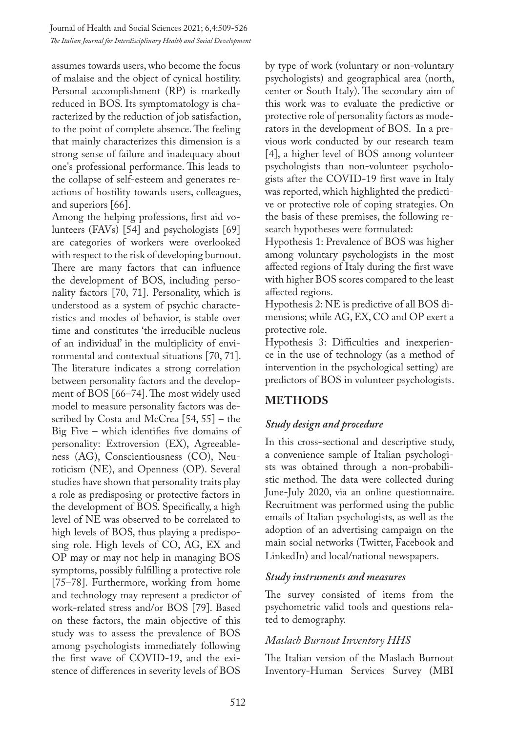assumes towards users, who become the focus of malaise and the object of cynical hostility. Personal accomplishment (RP) is markedly reduced in BOS. Its symptomatology is characterized by the reduction of job satisfaction, to the point of complete absence. The feeling that mainly characterizes this dimension is a strong sense of failure and inadequacy about one's professional performance. This leads to the collapse of self-esteem and generates reactions of hostility towards users, colleagues, and superiors [66].

Among the helping professions, first aid volunteers (FAVs) [54] and psychologists [69] are categories of workers were overlooked with respect to the risk of developing burnout. There are many factors that can influence the development of BOS, including personality factors [70, 71]. Personality, which is understood as a system of psychic characteristics and modes of behavior, is stable over time and constitutes 'the irreducible nucleus of an individual' in the multiplicity of environmental and contextual situations [70, 71]. The literature indicates a strong correlation between personality factors and the development of BOS [66–74]. The most widely used model to measure personality factors was described by Costa and McCrea [54, 55] – the Big Five – which identifies five domains of personality: Extroversion (EX), Agreeableness (AG), Conscientiousness (CO), Neuroticism (NE), and Openness (OP). Several studies have shown that personality traits play a role as predisposing or protective factors in the development of BOS. Specifically, a high level of NE was observed to be correlated to high levels of BOS, thus playing a predisposing role. High levels of CO, AG, EX and OP may or may not help in managing BOS symptoms, possibly fulfilling a protective role [75–78]. Furthermore, working from home and technology may represent a predictor of work-related stress and/or BOS [79]. Based on these factors, the main objective of this study was to assess the prevalence of BOS among psychologists immediately following the first wave of COVID-19, and the existence of differences in severity levels of BOS

by type of work (voluntary or non-voluntary psychologists) and geographical area (north, center or South Italy). The secondary aim of this work was to evaluate the predictive or protective role of personality factors as moderators in the development of BOS. In a previous work conducted by our research team [4], a higher level of BOS among volunteer psychologists than non-volunteer psychologists after the COVID-19 first wave in Italy was reported, which highlighted the predictive or protective role of coping strategies. On the basis of these premises, the following research hypotheses were formulated:

Hypothesis 1: Prevalence of BOS was higher among voluntary psychologists in the most affected regions of Italy during the first wave with higher BOS scores compared to the least affected regions.

Hypothesis 2: NE is predictive of all BOS dimensions; while AG, EX, CO and OP exert a protective role.

Hypothesis 3: Difficulties and inexperience in the use of technology (as a method of intervention in the psychological setting) are predictors of BOS in volunteer psychologists.

# **METHODS**

# *Study design and procedure*

In this cross-sectional and descriptive study, a convenience sample of Italian psychologists was obtained through a non-probabilistic method. The data were collected during June-July 2020, via an online questionnaire. Recruitment was performed using the public emails of Italian psychologists, as well as the adoption of an advertising campaign on the main social networks (Twitter, Facebook and LinkedIn) and local/national newspapers.

## *Study instruments and measures*

The survey consisted of items from the psychometric valid tools and questions related to demography.

# *Maslach Burnout Inventory HHS*

The Italian version of the Maslach Burnout Inventory-Human Services Survey (MBI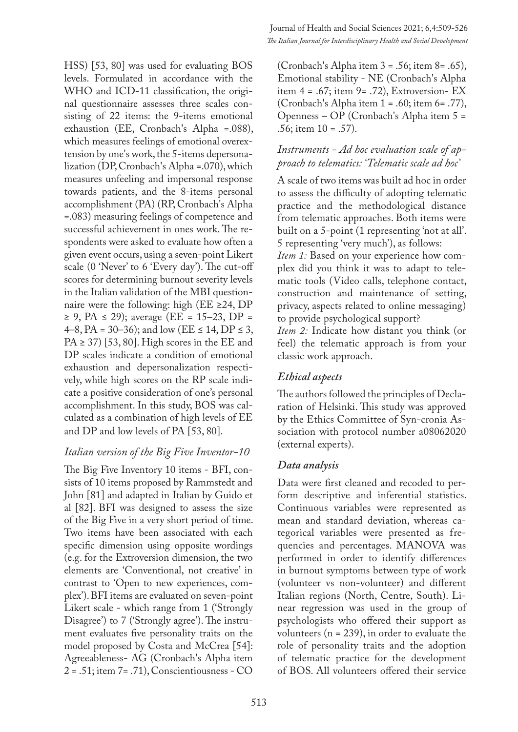HSS) [53, 80] was used for evaluating BOS levels. Formulated in accordance with the WHO and ICD-11 classification, the original questionnaire assesses three scales consisting of 22 items: the 9-items emotional exhaustion (EE, Cronbach's Alpha =.088), which measures feelings of emotional overextension by one's work, the 5-items depersonalization (DP, Cronbach's Alpha =.070), which measures unfeeling and impersonal response towards patients, and the 8-items personal accomplishment (PA) (RP, Cronbach's Alpha =.083) measuring feelings of competence and successful achievement in ones work. The respondents were asked to evaluate how often a given event occurs, using a seven-point Likert scale (0 'Never' to 6 'Every day'). The cut-off scores for determining burnout severity levels in the Italian validation of the MBI questionnaire were the following: high (EE ≥24, DP ≥ 9, PA ≤ 29); average (EE = 15–23, DP = 4–8, PA = 30–36); and low (EE  $\leq$  14, DP  $\leq$  3,  $PA \geq 37$  [53, 80]. High scores in the EE and DP scales indicate a condition of emotional exhaustion and depersonalization respectively, while high scores on the RP scale indicate a positive consideration of one's personal accomplishment. In this study, BOS was calculated as a combination of high levels of EE and DP and low levels of PA [53, 80].

#### *Italian version of the Big Five Inventor-10*

The Big Five Inventory 10 items - BFI, consists of 10 items proposed by Rammstedt and John [81] and adapted in Italian by Guido et al [82]. BFI was designed to assess the size of the Big Five in a very short period of time. Two items have been associated with each specific dimension using opposite wordings (e.g. for the Extroversion dimension, the two elements are 'Conventional, not creative' in contrast to 'Open to new experiences, complex'). BFI items are evaluated on seven-point Likert scale - which range from 1 ('Strongly Disagree') to 7 ('Strongly agree'). The instrument evaluates five personality traits on the model proposed by Costa and McCrea [54]: Agreeableness- AG (Cronbach's Alpha item 2 = .51; item 7= .71), Conscientiousness - CO

(Cronbach's Alpha item 3 = .56; item 8= .65), Emotional stability - NE (Cronbach's Alpha item  $4 = .67$ ; item  $9 = .72$ ), Extroversion- EX (Cronbach's Alpha item 1 = .60; item 6= .77), Openness – OP (Cronbach's Alpha item 5 = .56; item 10 = .57).

## *Instruments - Ad hoc evaluation scale of approach to telematics: 'Telematic scale ad hoc'*

A scale of two items was built ad hoc in order to assess the difficulty of adopting telematic practice and the methodological distance from telematic approaches. Both items were built on a 5-point (1 representing 'not at all'. 5 representing 'very much'), as follows:

*Item 1:* Based on your experience how complex did you think it was to adapt to telematic tools (Video calls, telephone contact, construction and maintenance of setting, privacy, aspects related to online messaging) to provide psychological support?

*Item 2:* Indicate how distant you think (or feel) the telematic approach is from your classic work approach.

## *Ethical aspects*

The authors followed the principles of Declaration of Helsinki. This study was approved by the Ethics Committee of Syn-cronia Association with protocol number a08062020 (external experts).

## *Data analysis*

Data were first cleaned and recoded to perform descriptive and inferential statistics. Continuous variables were represented as mean and standard deviation, whereas categorical variables were presented as frequencies and percentages. MANOVA was performed in order to identify differences in burnout symptoms between type of work (volunteer vs non-volunteer) and different Italian regions (North, Centre, South). Linear regression was used in the group of psychologists who offered their support as volunteers  $(n = 239)$ , in order to evaluate the role of personality traits and the adoption of telematic practice for the development of BOS. All volunteers offered their service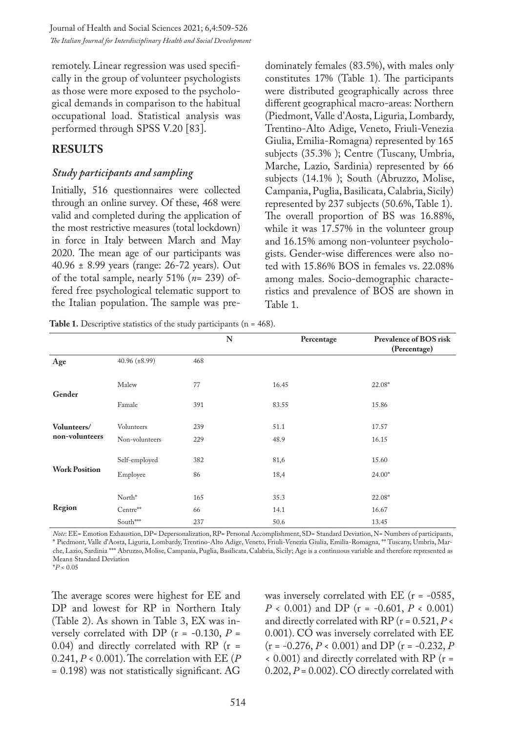Journal of Health and Social Sciences 2021; 6,4:509-526 *The Italian Journal for Interdisciplinary Health and Social Development*

remotely. Linear regression was used specifically in the group of volunteer psychologists as those were more exposed to the psychological demands in comparison to the habitual occupational load. Statistical analysis was performed through SPSS V.20 [83].

#### **RESULTS**

#### *Study participants and sampling*

Initially, 516 questionnaires were collected through an online survey. Of these, 468 were valid and completed during the application of the most restrictive measures (total lockdown) in force in Italy between March and May 2020. The mean age of our participants was 40.96 ± 8.99 years (range: 26-72 years). Out of the total sample, nearly 51% (*n*= 239) offered free psychological telematic support to the Italian population. The sample was predominately females (83.5%), with males only constitutes 17% (Table 1). The participants were distributed geographically across three different geographical macro-areas: Northern (Piedmont, Valle d'Aosta, Liguria, Lombardy, Trentino-Alto Adige, Veneto, Friuli-Venezia Giulia, Emilia-Romagna) represented by 165 subjects (35.3% ); Centre (Tuscany, Umbria, Marche, Lazio, Sardinia) represented by 66 subjects (14.1% ); South (Abruzzo, Molise, Campania, Puglia, Basilicata, Calabria, Sicily) represented by 237 subjects (50.6%, Table 1). The overall proportion of BS was 16.88%, while it was 17.57% in the volunteer group and 16.15% among non-volunteer psychologists. Gender-wise differences were also noted with 15.86% BOS in females vs. 22.08% among males. Socio-demographic characteristics and prevalence of BOS are shown in Table 1.

**N Percentage Prevalence of BOS risk (Percentage) Age** 40.96 (±8.99) 468 **Gender** Malew 22.08\* Famale 391 83.55 15.86 **Volunteers/ non-volunteers** Volunteers 239 51.1 17.57 Non-volunteers 229 48.9 16.15 **Work Position** Self-employed 382 81,6 15.60 Employee 86 18,4 24.00\* **Region** North<sup>\*</sup> 165 35.3 22.08<sup>\*</sup>  $Center^*$  66 14.1 16.67 South\*\*\* 237 50.6 13.45

Table 1. Descriptive statistics of the study participants (n = 468).

*Note*: EE= Emotion Exhaustion, DP= Depersonalization, RP= Personal Accomplishment, SD= Standard Deviation, N= Numbers of participants, \* Piedmont, Valle d'Aosta, Liguria, Lombardy, Trentino-Alto Adige, Veneto, Friuli-Venezia Giulia, Emilia-Romagna, \*\* Tuscany, Umbria, Marche, Lazio, Sardinia \*\*\* Abruzzo, Molise, Campania, Puglia, Basilicata, Calabria, Sicily; Age is a continuous variable and therefore represented as Mean± Standard Deviation

\**P* < 0.05

The average scores were highest for EE and DP and lowest for RP in Northern Italy (Table 2). As shown in Table 3, EX was inversely correlated with DP ( $r = -0.130, P =$ 0.04) and directly correlated with RP (r = 0.241, *P* < 0.001). The correlation with EE (*P* = 0.198) was not statistically significant. AG

was inversely correlated with  $EE$  ( $r = -0585$ , *P* < 0.001) and DP (r = -0.601, *P* < 0.001) and directly correlated with RP (r = 0.521, *P* < 0.001). CO was inversely correlated with EE (r = -0.276, *P* < 0.001) and DP (r = -0.232, *P* < 0.001) and directly correlated with RP (r =  $0.202, P = 0.002$ ). CO directly correlated with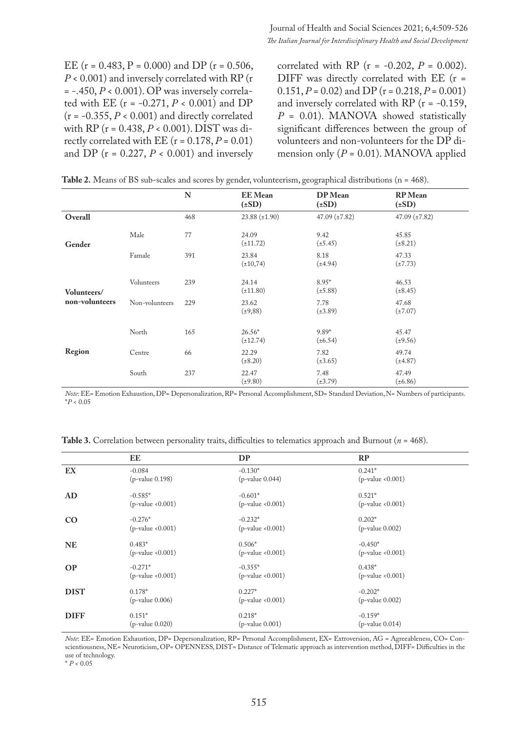EE ( $r = 0.483$ ,  $P = 0.000$ ) and DP ( $r = 0.506$ , *P* < 0.001) and inversely correlated with RP (r  $= -0.450, P < 0.001$ ). OP was inversely correlated with EE ( $r = -0.271$ ,  $P < 0.001$ ) and DP  $(r = -0.355, P < 0.001)$  and directly correlated with RP (r = 0.438, *P* < 0.001). DIST was directly correlated with EE  $(r = 0.178, P = 0.01)$ and DP ( $r = 0.227$ ,  $P < 0.001$ ) and inversely

correlated with RP (r = -0.202, *P* = 0.002). DIFF was directly correlated with EE (r = 0.151,  $P = 0.02$ ) and DP ( $r = 0.218$ ,  $P = 0.001$ ) and inversely correlated with RP ( $r = -0.159$ , *P* = 0.01). MANOVA showed statistically significant differences between the group of volunteers and non-volunteers for the DP dimension only  $(P = 0.01)$ . MANOVA applied

|                |                | N   | <b>EE</b> Mean<br>$(\pm SD)$ | DP Mean<br>$(\pm SD)$   | <b>RP</b> Mean<br>$(\pm SD)$ |
|----------------|----------------|-----|------------------------------|-------------------------|------------------------------|
| Overall        |                | 468 | $23.88 \ (\pm 1.90)$         | 47.09 $(\pm 7.82)$      | 47.09 $(\pm 7.82)$           |
| Gender         | Male           | 77  | 24.09<br>$(\pm 11.72)$       | 9.42<br>$(\pm 5.45)$    | 45.85<br>$(\pm 8.21)$        |
|                | Famale         | 391 | 23.84<br>$(\pm 10, 74)$      | 8.18<br>$(\pm 4.94)$    | 47.33<br>$(\pm 7.73)$        |
| Volunteers/    | Volunteers     | 239 | 24.14<br>$(\pm 11.80)$       | $8.95*$<br>$(\pm 5.88)$ | 46.53<br>$(\pm 8.45)$        |
| non-volunteers | Non-volunteers | 229 | 23.62<br>$(\pm 9, 88)$       | 7.78<br>$(\pm 3.89)$    | 47.68<br>$(\pm 7.07)$        |
|                | North          | 165 | $26.56*$<br>$(\pm 12.74)$    | $9.89*$<br>$(\pm 6.54)$ | 45.47<br>$(\pm 9.56)$        |
| Region         | Centre         | 66  | 22.29<br>$(\pm 8.20)$        | 7.82<br>$(\pm 3.65)$    | 49.74<br>$(\pm 4.87)$        |
|                | South          | 237 | 22.47<br>$(\pm 9.80)$        | 7.48<br>$(\pm 3.79)$    | 47.49<br>$(\pm 6.86)$        |

| Table 2. Means of BS sub-scales and scores by gender, volunteerism, geographical distributions ( $n = 468$ ). |  |  |
|---------------------------------------------------------------------------------------------------------------|--|--|
|---------------------------------------------------------------------------------------------------------------|--|--|

*Note*: EE= Emotion Exhaustion, DP= Depersonalization, RP= Personal Accomplishment, SD= Standard Deviation, N= Numbers of participants. \**P* < 0.05

**Table 3.** Correlation between personality traits, difficulties to telematics approach and Burnout (*n* = 468).

|             | EE                     | <b>DP</b>              | RP                   |
|-------------|------------------------|------------------------|----------------------|
| EX          | $-0.084$               | $-0.130*$              | $0.241*$             |
|             | (p-value 0.198)        | $(p$ -value $0.044)$   | $(p$ -value < 0.001) |
| <b>AD</b>   | $-0.585*$              | $-0.601*$              | $0.521*$             |
|             | $(p$ -value < $0.001)$ | $(p$ -value < $0.001)$ | $(p$ -value < 0.001) |
| CO          | $-0.276*$              | $-0.232*$              | $0.202*$             |
|             | $(p$ -value < $0.001)$ | $(p$ -value < $0.001)$ | $(p$ -value $0.002)$ |
| <b>NE</b>   | $0.483*$               | $0.506*$               | $-0.450*$            |
|             | $(p$ -value < $0.001)$ | $(p$ -value < $0.001)$ | $(p$ -value < 0.001) |
| <b>OP</b>   | $-0.271*$              | $-0.355*$              | $0.438*$             |
|             | $(p$ -value < $0.001)$ | (p-value < 0.001)      | $(p$ -value < 0.001) |
| <b>DIST</b> | $0.178*$               | $0.227*$               | $-0.202*$            |
|             | $(p$ -value $0.006)$   | (p-value < 0.001)      | $(p$ -value $0.002)$ |
| <b>DIFF</b> | $0.151*$               | $0.218*$               | $-0.159*$            |
|             | $(p$ -value $0.020)$   | $(p$ -value $0.001)$   | $(p$ -value $0.014)$ |

*Note*: EE= Emotion Exhaustion, DP= Depersonalization, RP= Personal Accomplishment, EX= Extroversion, AG = Agreeableness, CO= Conscientiousness, NE= Neuroticism, OP= OPENNESS, DIST= Distance of Telematic approach as intervention method, DIFF= Difficulties in the use of technology.

\* *P* < 0.05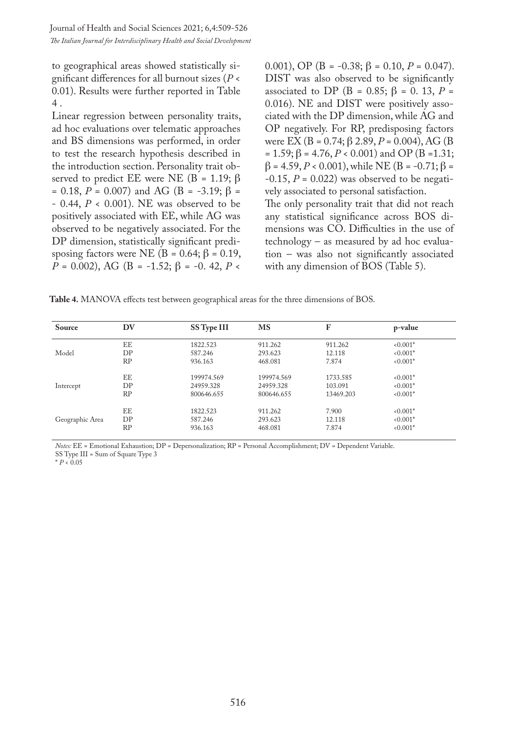to geographical areas showed statistically significant differences for all burnout sizes (*P* < 0.01). Results were further reported in Table 4 .

Linear regression between personality traits, ad hoc evaluations over telematic approaches and BS dimensions was performed, in order to test the research hypothesis described in the introduction section. Personality trait observed to predict EE were NE (B = 1.19;  $\beta$ )  $= 0.18, P = 0.007$ ) and AG (B = -3.19;  $\beta =$ - 0.44, *P* < 0.001). NE was observed to be positively associated with EE, while AG was observed to be negatively associated. For the DP dimension, statistically significant predisposing factors were NE (B = 0.64;  $\beta$  = 0.19, *P* = 0.002), AG (B = -1.52; β = -0.42, *P* <

0.001), OP (B =  $-0.38$ ;  $\beta = 0.10$ ,  $P = 0.047$ ). DIST was also observed to be significantly associated to DP (B = 0.85;  $\beta$  = 0.13, P = 0.016). NE and DIST were positively associated with the DP dimension, while AG and OP negatively. For RP, predisposing factors were EX (B = 0.74; β 2.89, *P* = 0.004), AG (B = 1.59;  $\beta$  = 4.76,  $P < 0.001$ ) and OP (B = 1.31;  $β = 4.59, P < 0.001$ , while NE (B = -0.71; β =  $-0.15$ ,  $P = 0.022$ ) was observed to be negatively associated to personal satisfaction. The only personality trait that did not reach

any statistical significance across BOS dimensions was CO. Difficulties in the use of technology – as measured by ad hoc evaluation – was also not significantly associated with any dimension of BOS (Table 5).

**Table 4.** MANOVA effects test between geographical areas for the three dimensions of BOS.

| Source          | DV | SS Type III | <b>MS</b>  | F         | p-value    |
|-----------------|----|-------------|------------|-----------|------------|
|                 | EE | 1822.523    | 911.262    | 911.262   | $< 0.001*$ |
| Model           | DP | 587.246     | 293.623    | 12.118    | $0.001*$   |
|                 | RP | 936.163     | 468.081    | 7.874     | $0.001*$   |
|                 | EE | 199974.569  | 199974.569 | 1733.585  | $0.001*$   |
| Intercept       | DP | 24959.328   | 24959.328  | 103.091   | $< 0.001*$ |
|                 | RP | 800646.655  | 800646.655 | 13469.203 | $0.001*$   |
|                 | EE | 1822.523    | 911.262    | 7.900     | $0.001*$   |
| Geographic Area | DP | 587.246     | 293.623    | 12.118    | $0.001*$   |
|                 | RP | 936.163     | 468.081    | 7.874     | $0.001*$   |

*Notes:* EE = Emotional Exhaustion; DP = Depersonalization; RP = Personal Accomplishment; DV = Dependent Variable. SS Type III = Sum of Square Type 3

\* *P* < 0.05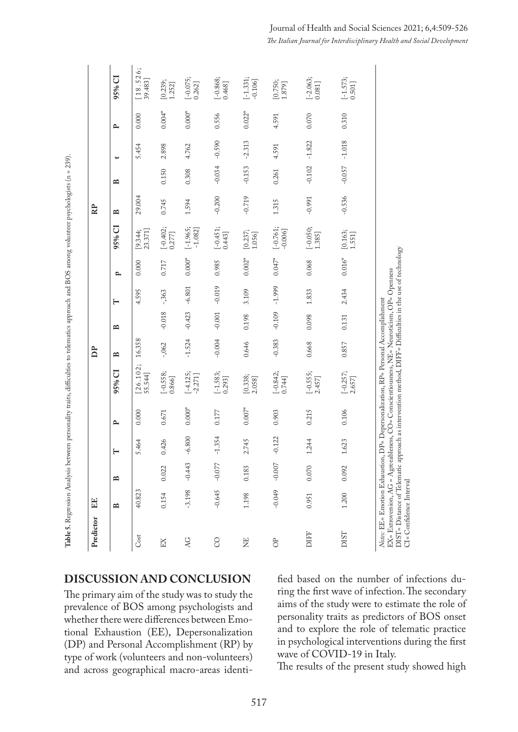| Predictor                                                 | EE           |              |          |              |                                                                                                                                                                                                                                                              | <b>P</b>     |              |          |          |                                                  | RP           |              |          |              |                                                  |
|-----------------------------------------------------------|--------------|--------------|----------|--------------|--------------------------------------------------------------------------------------------------------------------------------------------------------------------------------------------------------------------------------------------------------------|--------------|--------------|----------|----------|--------------------------------------------------|--------------|--------------|----------|--------------|--------------------------------------------------|
|                                                           | $\mathbf{r}$ | $\mathbf{r}$ |          | $\mathbf{r}$ | 95% CI                                                                                                                                                                                                                                                       | $\mathbf{r}$ | $\mathbf{r}$ | $\vdash$ | ٩        | 95% CI                                           | $\mathbf{r}$ | $\mathbf{r}$ | پ        | $\mathbf{r}$ | 95% CI                                           |
| Cost                                                      | 40.823       |              | 5.464    | 0.000        | $[26.102;$<br>55.544]                                                                                                                                                                                                                                        | 16.358       |              | 4.595    | 0.000    | 23.371]<br>[9.344;                               | 29.004       |              | 5.454    | 0.000        | [18.526;<br>39.483]                              |
| EX                                                        | 0.154        | 0.022        | 0.426    | 0.671        | $[-0.558; 0.866]$                                                                                                                                                                                                                                            | $-0.062$     | $-0.018$     | $-363$   | 0.717    | $\begin{bmatrix} -0.402 \\ 0.277 \end{bmatrix}$  | 0.745        | 0.150        | 2.898    | $0.004*$     | [0.239; 1.252]                                   |
| <b>AG</b>                                                 | $-3.198$     | $-0.443$     | $-6.800$ | $0.000*$     | $[-4.125;$                                                                                                                                                                                                                                                   | $-1.524$     | $-0.423$     | $-6.801$ | $0.000*$ | $[-1.965;$<br>$-1.082]$                          | 1.594        | 0.308        | 4.762    | $0.000*$     | $[-0.075; 0.262]$                                |
| $\infty$                                                  | $-0.645$     | $-0.077$     | $-1.354$ | 0.177        | $[-1.583; 0.293]$                                                                                                                                                                                                                                            | $-0.004$     | $-0.001$     | $-0.019$ | 0.985    | $[-0.451; 0.443]$                                | $-0.200$     | $-0.034$     | $-0.590$ | 0.556        | $[-0.868; 0.468]$                                |
| EN                                                        | 1.198        | 0.183        | 2.745    | $0.007*$     | [0.338; 2.058]                                                                                                                                                                                                                                               | 0.646        | 0.198        | 3.109    | $0.002*$ | [0.237; 1.056]                                   | $-0.719$     | $-0.153$     | $-2.313$ | $0.022*$     | $[-1.331;$<br>$-0.106$ ]                         |
| $\sigma$                                                  | $-0.049$     | $-0.007$     | $-0.122$ | 0.903        | $\begin{bmatrix} -0.842; \\ 0.744 \end{bmatrix}$                                                                                                                                                                                                             | $-0.383$     | $-0.109$     | $-1.999$ | $0.047*$ | $[-0.761;$<br>$-0.006]$                          | 1.315        | 0.261        | 4.591    | 4.591        | [0.750; 1.879]                                   |
| DIFF                                                      | 0.951        | 0.070        | 1.244    | 0.215        | $[-0.555;$<br>2.457]                                                                                                                                                                                                                                         | 0.668        | 0.098        | 1.833    | 0.068    | $[-0.050; 1.385]$                                | $-0.991$     | $-0.102$     | $-1.822$ | 0.070        | $\begin{bmatrix} -2.063; \\ 0.081 \end{bmatrix}$ |
| <b>DIST</b>                                               | 1.200        | 0.092        | 1.623    | 0.106        | $[-0.257; 2.657]$                                                                                                                                                                                                                                            | 0.857        | 0.131        | 2.434    | $0.016*$ | $\begin{array}{c} [0.163; \\ 1.551] \end{array}$ | $-0.536$     | $-0.057$     | $-1.018$ | 0.310        | $\begin{bmatrix} -1.573;\\ 0.501 \end{bmatrix}$  |
| Notes: EE= Emotion Exhaustion,<br>CI= Confidence Interval |              |              |          |              | DIST= Distance of Telematic approach as intervention method, DIFF= Difficulties in the use of technology<br>EX= Extroversion, AG = Agreeableness, CO= Conscientiousness, NE= Neuroticism, OP= Openness<br>DP= Depersonalization, RP= Personal Accomplishment |              |              |          |          |                                                  |              |              |          |              |                                                  |

**DISCUSSION AND CONCLUSION**

The primary aim of the study was to study the prevalence of BOS among psychologists and whether there were differences between Emotional Exhaustion (EE), Depersonalization (DP) and Personal Accomplishment (RP) by type of work (volunteers and non-volunteers) and across geographical macro-areas identified based on the number of infections during the first wave of infection. The secondary aims of the study were to estimate the role of personality traits as predictors of BOS onset and to explore the role of telematic practice in psychological interventions during the first wave of COVID-19 in Italy.

The results of the present study showed high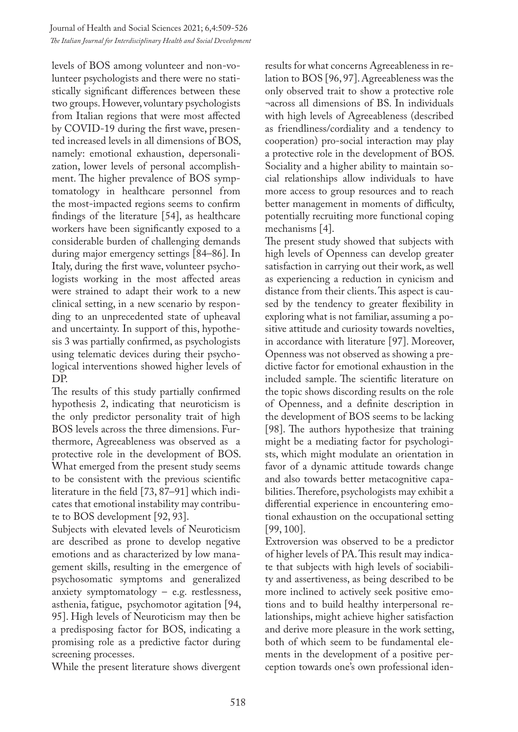levels of BOS among volunteer and non-volunteer psychologists and there were no statistically significant differences between these two groups. However, voluntary psychologists from Italian regions that were most affected by COVID-19 during the first wave, presented increased levels in all dimensions of BOS, namely: emotional exhaustion, depersonalization, lower levels of personal accomplishment. The higher prevalence of BOS symptomatology in healthcare personnel from the most-impacted regions seems to confirm findings of the literature [54], as healthcare workers have been significantly exposed to a considerable burden of challenging demands during major emergency settings [84–86]. In Italy, during the first wave, volunteer psychologists working in the most affected areas were strained to adapt their work to a new clinical setting, in a new scenario by responding to an unprecedented state of upheaval and uncertainty. In support of this, hypothesis 3 was partially confirmed, as psychologists using telematic devices during their psychological interventions showed higher levels of DP.

The results of this study partially confirmed hypothesis 2, indicating that neuroticism is the only predictor personality trait of high BOS levels across the three dimensions. Furthermore, Agreeableness was observed as a protective role in the development of BOS. What emerged from the present study seems to be consistent with the previous scientific literature in the field [73, 87–91] which indicates that emotional instability may contribute to BOS development [92, 93].

Subjects with elevated levels of Neuroticism are described as prone to develop negative emotions and as characterized by low management skills, resulting in the emergence of psychosomatic symptoms and generalized anxiety symptomatology  $-$  e.g. restlessness, asthenia, fatigue, psychomotor agitation [94, 95]. High levels of Neuroticism may then be a predisposing factor for BOS, indicating a promising role as a predictive factor during screening processes.

While the present literature shows divergent

results for what concerns Agreeableness in relation to BOS [96, 97]. Agreeableness was the only observed trait to show a protective role ¬across all dimensions of BS. In individuals with high levels of Agreeableness (described as friendliness/cordiality and a tendency to cooperation) pro-social interaction may play a protective role in the development of BOS. Sociality and a higher ability to maintain social relationships allow individuals to have more access to group resources and to reach better management in moments of difficulty, potentially recruiting more functional coping mechanisms [4].

The present study showed that subjects with high levels of Openness can develop greater satisfaction in carrying out their work, as well as experiencing a reduction in cynicism and distance from their clients. This aspect is caused by the tendency to greater flexibility in exploring what is not familiar, assuming a positive attitude and curiosity towards novelties, in accordance with literature [97]. Moreover, Openness was not observed as showing a predictive factor for emotional exhaustion in the included sample. The scientific literature on the topic shows discording results on the role of Openness, and a definite description in the development of BOS seems to be lacking [98]. The authors hypothesize that training might be a mediating factor for psychologists, which might modulate an orientation in favor of a dynamic attitude towards change and also towards better metacognitive capabilities. Therefore, psychologists may exhibit a differential experience in encountering emotional exhaustion on the occupational setting [99, 100].

Extroversion was observed to be a predictor of higher levels of PA. This result may indicate that subjects with high levels of sociability and assertiveness, as being described to be more inclined to actively seek positive emotions and to build healthy interpersonal relationships, might achieve higher satisfaction and derive more pleasure in the work setting, both of which seem to be fundamental elements in the development of a positive perception towards one's own professional iden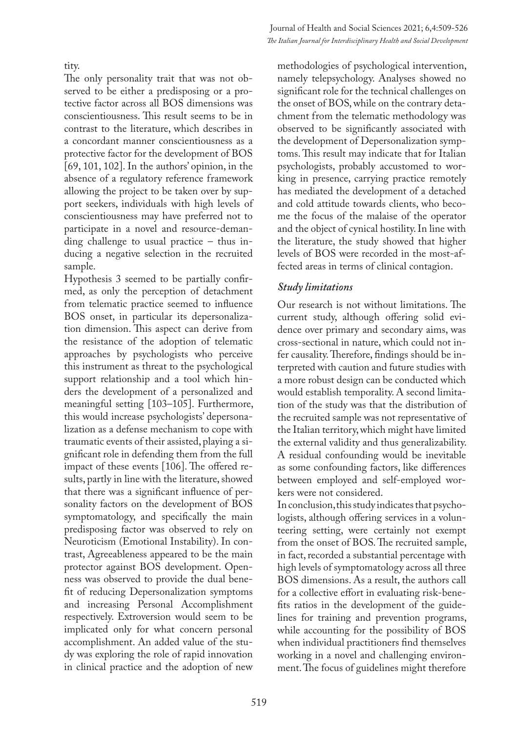The only personality trait that was not observed to be either a predisposing or a protective factor across all BOS dimensions was conscientiousness. This result seems to be in contrast to the literature, which describes in a concordant manner conscientiousness as a protective factor for the development of BOS [69, 101, 102]. In the authors' opinion, in the absence of a regulatory reference framework allowing the project to be taken over by support seekers, individuals with high levels of conscientiousness may have preferred not to participate in a novel and resource-demanding challenge to usual practice – thus inducing a negative selection in the recruited sample.

Hypothesis 3 seemed to be partially confirmed, as only the perception of detachment from telematic practice seemed to influence BOS onset, in particular its depersonalization dimension. This aspect can derive from the resistance of the adoption of telematic approaches by psychologists who perceive this instrument as threat to the psychological support relationship and a tool which hinders the development of a personalized and meaningful setting [103–105]. Furthermore, this would increase psychologists' depersonalization as a defense mechanism to cope with traumatic events of their assisted, playing a significant role in defending them from the full impact of these events [106]. The offered results, partly in line with the literature, showed that there was a significant influence of personality factors on the development of BOS symptomatology, and specifically the main predisposing factor was observed to rely on Neuroticism (Emotional Instability). In contrast, Agreeableness appeared to be the main protector against BOS development. Openness was observed to provide the dual benefit of reducing Depersonalization symptoms and increasing Personal Accomplishment respectively. Extroversion would seem to be implicated only for what concern personal accomplishment. An added value of the study was exploring the role of rapid innovation in clinical practice and the adoption of new

methodologies of psychological intervention, namely telepsychology. Analyses showed no significant role for the technical challenges on the onset of BOS, while on the contrary detachment from the telematic methodology was observed to be significantly associated with the development of Depersonalization symptoms. This result may indicate that for Italian psychologists, probably accustomed to working in presence, carrying practice remotely has mediated the development of a detached and cold attitude towards clients, who become the focus of the malaise of the operator and the object of cynical hostility. In line with the literature, the study showed that higher levels of BOS were recorded in the most-affected areas in terms of clinical contagion.

## *Study limitations*

Our research is not without limitations. The current study, although offering solid evidence over primary and secondary aims, was cross-sectional in nature, which could not infer causality. Therefore, findings should be interpreted with caution and future studies with a more robust design can be conducted which would establish temporality. A second limitation of the study was that the distribution of the recruited sample was not representative of the Italian territory, which might have limited the external validity and thus generalizability. A residual confounding would be inevitable as some confounding factors, like differences between employed and self-employed workers were not considered.

In conclusion, this study indicates that psychologists, although offering services in a volunteering setting, were certainly not exempt from the onset of BOS. The recruited sample, in fact, recorded a substantial percentage with high levels of symptomatology across all three BOS dimensions. As a result, the authors call for a collective effort in evaluating risk-benefits ratios in the development of the guidelines for training and prevention programs, while accounting for the possibility of BOS when individual practitioners find themselves working in a novel and challenging environment. The focus of guidelines might therefore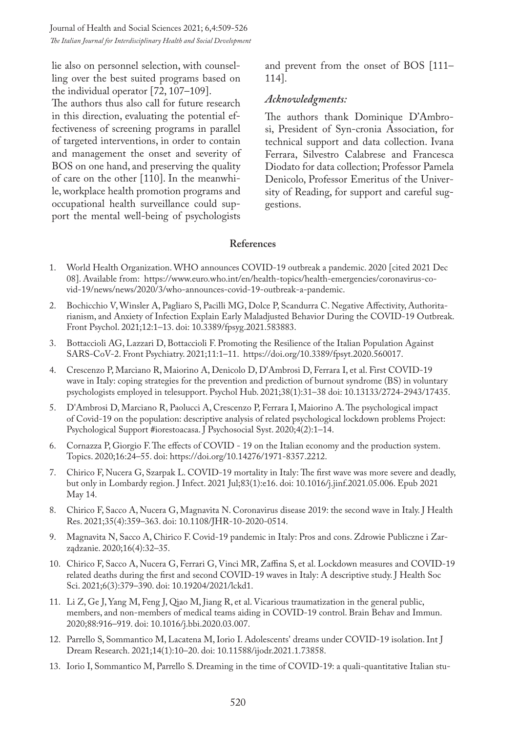Journal of Health and Social Sciences 2021; 6,4:509-526 *The Italian Journal for Interdisciplinary Health and Social Development*

lie also on personnel selection, with counselling over the best suited programs based on the individual operator [72, 107–109].

The authors thus also call for future research in this direction, evaluating the potential effectiveness of screening programs in parallel of targeted interventions, in order to contain and management the onset and severity of BOS on one hand, and preserving the quality of care on the other [110]. In the meanwhile, workplace health promotion programs and occupational health surveillance could support the mental well-being of psychologists

and prevent from the onset of BOS [111– 114].

#### *Acknowledgments:*

The authors thank Dominique D'Ambrosi, President of Syn-cronia Association, for technical support and data collection. Ivana Ferrara, Silvestro Calabrese and Francesca Diodato for data collection; Professor Pamela Denicolo, Professor Emeritus of the University of Reading, for support and careful suggestions.

#### **References**

- 1. World Health Organization. WHO announces COVID-19 outbreak a pandemic. 2020 [cited 2021 Dec 08]. Available from: https://www.euro.who.int/en/health-topics/health-emergencies/coronavirus-covid-19/news/news/2020/3/who-announces-covid-19-outbreak-a-pandemic.
- 2. Bochicchio V, Winsler A, Pagliaro S, Pacilli MG, Dolce P, Scandurra C. Negative Affectivity, Authoritarianism, and Anxiety of Infection Explain Early Maladjusted Behavior During the COVID-19 Outbreak. Front Psychol. 2021;12:1–13. doi: 10.3389/fpsyg.2021.583883.
- 3. Bottaccioli AG, Lazzari D, Bottaccioli F. Promoting the Resilience of the Italian Population Against SARS-CoV-2. Front Psychiatry. 2021;11:1–11. https://doi.org/10.3389/fpsyt.2020.560017.
- 4. Crescenzo P, Marciano R, Maiorino A, Denicolo D, D'Ambrosi D, Ferrara I, et al. First COVID-19 wave in Italy: coping strategies for the prevention and prediction of burnout syndrome (BS) in voluntary psychologists employed in telesupport. Psychol Hub. 2021;38(1):31–38 doi: 10.13133/2724-2943/17435.
- 5. D'Ambrosi D, Marciano R, Paolucci A, Crescenzo P, Ferrara I, Maiorino A. The psychological impact of Covid-19 on the population: descriptive analysis of related psychological lockdown problems Project: Psychological Support #iorestoacasa. J Psychosocial Syst. 2020;4(2):1–14.
- 6. Cornazza P, Giorgio F. The effects of COVID 19 on the Italian economy and the production system. Topics. 2020;16:24–55. doi: https://doi.org/10.14276/1971-8357.2212.
- 7. Chirico F, Nucera G, Szarpak L. COVID-19 mortality in Italy: The first wave was more severe and deadly, but only in Lombardy region. J Infect. 2021 Jul;83(1):e16. doi: 10.1016/j.jinf.2021.05.006. Epub 2021 May 14.
- 8. Chirico F, Sacco A, Nucera G, Magnavita N. Coronavirus disease 2019: the second wave in Italy. J Health Res. 2021;35(4):359–363. doi: 10.1108/JHR-10-2020-0514.
- 9. Magnavita N, Sacco A, Chirico F. Covid-19 pandemic in Italy: Pros and cons. Zdrowie Publiczne i Zarządzanie. 2020;16(4):32–35.
- 10. Chirico F, Sacco A, Nucera G, Ferrari G, Vinci MR, Zaffina S, et al. Lockdown measures and COVID-19 related deaths during the first and second COVID-19 waves in Italy: A descriptive study. J Health Soc Sci. 2021;6(3):379–390. doi: 10.19204/2021/lckd1.
- 11. Li Z, Ge J, Yang M, Feng J, Qiao M, Jiang R, et al. Vicarious traumatization in the general public, members, and non-members of medical teams aiding in COVID-19 control. Brain Behav and Immun. 2020;88:916–919. doi: 10.1016/j.bbi.2020.03.007.
- 12. Parrello S, Sommantico M, Lacatena M, Iorio I. Adolescents' dreams under COVID-19 isolation. Int J Dream Research. 2021;14(1):10–20. doi: 10.11588/ijodr.2021.1.73858.
- 13. Iorio I, Sommantico M, Parrello S. Dreaming in the time of COVID-19: a quali-quantitative Italian stu-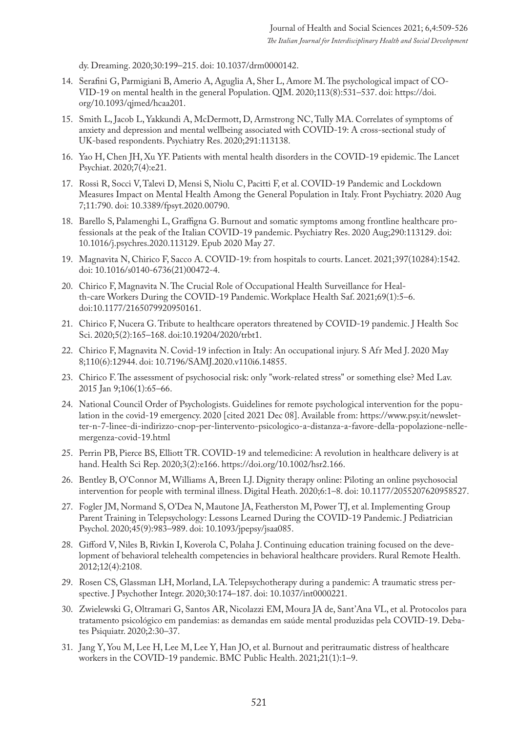dy. Dreaming. 2020;30:199–215. doi: 10.1037/drm0000142.

- 14. Serafini G, Parmigiani B, Amerio A, Aguglia A, Sher L, Amore M. The psychological impact of CO-VID-19 on mental health in the general Population. QJM. 2020;113(8):531–537. doi: https://doi. org/10.1093/qjmed/hcaa201.
- 15. Smith L, Jacob L, Yakkundi A, McDermott, D, Armstrong NC, Tully MA. Correlates of symptoms of anxiety and depression and mental wellbeing associated with COVID-19: A cross-sectional study of UK-based respondents. Psychiatry Res. 2020;291:113138.
- 16. Yao H, Chen JH, Xu YF. Patients with mental health disorders in the COVID-19 epidemic. The Lancet Psychiat. 2020;7(4):e21.
- 17. Rossi R, Socci V, Talevi D, Mensi S, Niolu C, Pacitti F, et al. COVID-19 Pandemic and Lockdown Measures Impact on Mental Health Among the General Population in Italy. Front Psychiatry. 2020 Aug 7;11:790. doi: 10.3389/fpsyt.2020.00790.
- 18. Barello S, Palamenghi L, Graffigna G. Burnout and somatic symptoms among frontline healthcare professionals at the peak of the Italian COVID-19 pandemic. Psychiatry Res. 2020 Aug;290:113129. doi: 10.1016/j.psychres.2020.113129. Epub 2020 May 27.
- 19. Magnavita N, Chirico F, Sacco A. COVID-19: from hospitals to courts. Lancet. 2021;397(10284):1542. doi: 10.1016/s0140-6736(21)00472-4.
- 20. Chirico F, Magnavita N. The Crucial Role of Occupational Health Surveillance for Health-care Workers During the COVID-19 Pandemic. Workplace Health Saf. 2021;69(1):5–6. doi:10.1177/2165079920950161.
- 21. Chirico F, Nucera G. Tribute to healthcare operators threatened by COVID-19 pandemic. J Health Soc Sci. 2020;5(2):165–168. doi:10.19204/2020/trbt1.
- 22. Chirico F, Magnavita N. Covid-19 infection in Italy: An occupational injury. S Afr Med J. 2020 May 8;110(6):12944. doi: 10.7196/SAMJ.2020.v110i6.14855.
- 23. Chirico F. The assessment of psychosocial risk: only "work-related stress" or something else? Med Lav. 2015 Jan 9;106(1):65–66.
- 24. National Council Order of Psychologists. Guidelines for remote psychological intervention for the population in the covid-19 emergency. 2020 [cited 2021 Dec 08]. Available from: https://www.psy.it/newsletter-n-7-linee-di-indirizzo-cnop-per-lintervento-psicologico-a-distanza-a-favore-della-popolazione-nellemergenza-covid-19.html
- 25. Perrin PB, Pierce BS, Elliott TR. COVID-19 and telemedicine: A revolution in healthcare delivery is at hand. Health Sci Rep. 2020;3(2):e166. https://doi.org/10.1002/hsr2.166.
- 26. Bentley B, O'Connor M, Williams A, Breen LJ. Dignity therapy online: Piloting an online psychosocial intervention for people with terminal illness. Digital Heath. 2020;6:1–8. doi: 10.1177/2055207620958527.
- 27. Fogler JM, Normand S, O'Dea N, Mautone JA, Featherston M, Power TJ, et al. Implementing Group Parent Training in Telepsychology: Lessons Learned During the COVID-19 Pandemic. J Pediatrician Psychol. 2020;45(9):983–989. doi: 10.1093/jpepsy/jsaa085.
- 28. Gifford V, Niles B, Rivkin I, Koverola C, Polaha J. Continuing education training focused on the development of behavioral telehealth competencies in behavioral healthcare providers. Rural Remote Health. 2012;12(4):2108.
- 29. Rosen CS, Glassman LH, Morland, LA. Telepsychotherapy during a pandemic: A traumatic stress perspective. J Psychother Integr. 2020;30:174–187. doi: 10.1037/int0000221.
- 30. Zwielewski G, Oltramari G, Santos AR, Nicolazzi EM, Moura JA de, Sant'Ana VL, et al. Protocolos para tratamento psicológico em pandemias: as demandas em saúde mental produzidas pela COVID-19. Debates Psiquiatr. 2020;2:30–37.
- 31. Jang Y, You M, Lee H, Lee M, Lee Y, Han JO, et al. Burnout and peritraumatic distress of healthcare workers in the COVID-19 pandemic. BMC Public Health. 2021;21(1):1–9.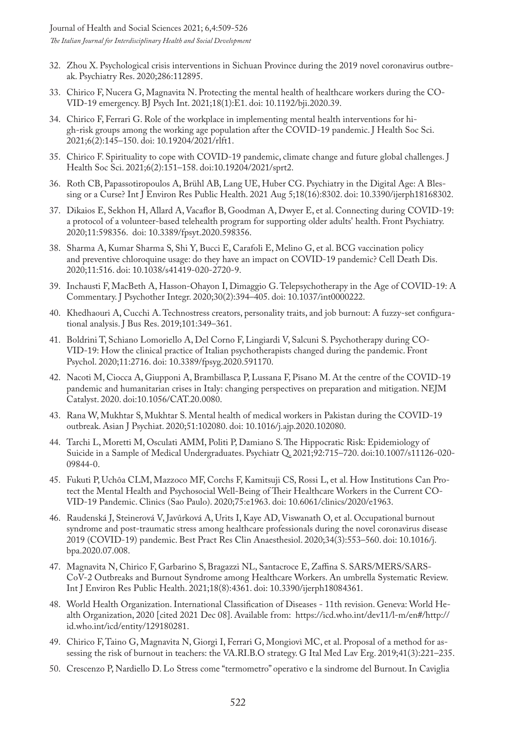- 32. Zhou X. Psychological crisis interventions in Sichuan Province during the 2019 novel coronavirus outbreak. Psychiatry Res. 2020;286:112895.
- 33. Chirico F, Nucera G, Magnavita N. Protecting the mental health of healthcare workers during the CO-VID-19 emergency. BJ Psych Int. 2021;18(1):E1. doi: 10.1192/bji.2020.39.
- 34. Chirico F, Ferrari G. Role of the workplace in implementing mental health interventions for high-risk groups among the working age population after the COVID-19 pandemic. J Health Soc Sci. 2021;6(2):145–150. doi: 10.19204/2021/rlft1.
- 35. Chirico F. Spirituality to cope with COVID-19 pandemic, climate change and future global challenges. J Health Soc Sci. 2021;6(2):151–158. doi:10.19204/2021/sprt2.
- 36. Roth CB, Papassotiropoulos A, Brühl AB, Lang UE, Huber CG. Psychiatry in the Digital Age: A Blessing or a Curse? Int J Environ Res Public Health. 2021 Aug 5;18(16):8302. doi: 10.3390/ijerph18168302.
- 37. Dikaios E, Sekhon H, Allard A, Vacaflor B, Goodman A, Dwyer E, et al. Connecting during COVID-19: a protocol of a volunteer-based telehealth program for supporting older adults' health. Front Psychiatry. 2020;11:598356. doi: 10.3389/fpsyt.2020.598356.
- 38. Sharma A, Kumar Sharma S, Shi Y, Bucci E, Carafoli E, Melino G, et al. BCG vaccination policy and preventive chloroquine usage: do they have an impact on COVID-19 pandemic? Cell Death Dis. 2020;11:516. doi: 10.1038/s41419-020-2720-9.
- 39. Inchausti F, MacBeth A, Hasson-Ohayon I, Dimaggio G. Telepsychotherapy in the Age of COVID-19: A Commentary. J Psychother Integr. 2020;30(2):394–405. doi: 10.1037/int0000222.
- 40. Khedhaouri A, Cucchi A. Technostress creators, personality traits, and job burnout: A fuzzy-set configurational analysis. J Bus Res. 2019;101:349–361.
- 41. Boldrini T, Schiano Lomoriello A, Del Corno F, Lingiardi V, Salcuni S. Psychotherapy during CO-VID-19: How the clinical practice of Italian psychotherapists changed during the pandemic. Front Psychol. 2020;11:2716. doi: 10.3389/fpsyg.2020.591170.
- 42. Nacoti M, Ciocca A, Giupponi A, Brambillasca P, Lussana F, Pisano M. At the centre of the COVID-19 pandemic and humanitarian crises in Italy: changing perspectives on preparation and mitigation. NEJM Catalyst. 2020. doi:10.1056/CAT.20.0080.
- 43. Rana W, Mukhtar S, Mukhtar S. Mental health of medical workers in Pakistan during the COVID-19 outbreak. Asian J Psychiat. 2020;51:102080. doi: 10.1016/j.ajp.2020.102080.
- 44. Tarchi L, Moretti M, Osculati AMM, Politi P, Damiano S. The Hippocratic Risk: Epidemiology of Suicide in a Sample of Medical Undergraduates. Psychiatr Q. 2021;92:715–720. doi:10.1007/s11126-020- 09844-0.
- 45. Fukuti P, Uchôa CLM, Mazzoco MF, Corchs F, Kamitsuji CS, Rossi L, et al. How Institutions Can Protect the Mental Health and Psychosocial Well-Being of Their Healthcare Workers in the Current CO-VID-19 Pandemic. Clinics (Sao Paulo). 2020;75:e1963. doi: 10.6061/clinics/2020/e1963.
- 46. Raudenská J, Steinerová V, Javůrková A, Urits I, Kaye AD, Viswanath O, et al. Occupational burnout syndrome and post-traumatic stress among healthcare professionals during the novel coronavirus disease 2019 (COVID-19) pandemic. Best Pract Res Clin Anaesthesiol. 2020;34(3):553–560. doi: 10.1016/j. bpa.2020.07.008.
- 47. Magnavita N, Chirico F, Garbarino S, Bragazzi NL, Santacroce E, Zaffina S. SARS/MERS/SARS-CoV-2 Outbreaks and Burnout Syndrome among Healthcare Workers. An umbrella Systematic Review. Int J Environ Res Public Health. 2021;18(8):4361. doi: 10.3390/ijerph18084361.
- 48. World Health Organization. International Classification of Diseases 11th revision. Geneva: World Health Organization, 2020 [cited 2021 Dec 08]. Available from: https://icd.who.int/dev11/l-m/en#/http:// id.who.int/icd/entity/129180281.
- 49. Chirico F, Taino G, Magnavita N, Giorgi I, Ferrari G, Mongiovì MC, et al. Proposal of a method for assessing the risk of burnout in teachers: the VA.RI.B.O strategy. G Ital Med Lav Erg. 2019;41(3):221–235.
- 50. Crescenzo P, Nardiello D. Lo Stress come "termometro" operativo e la sindrome del Burnout. In Caviglia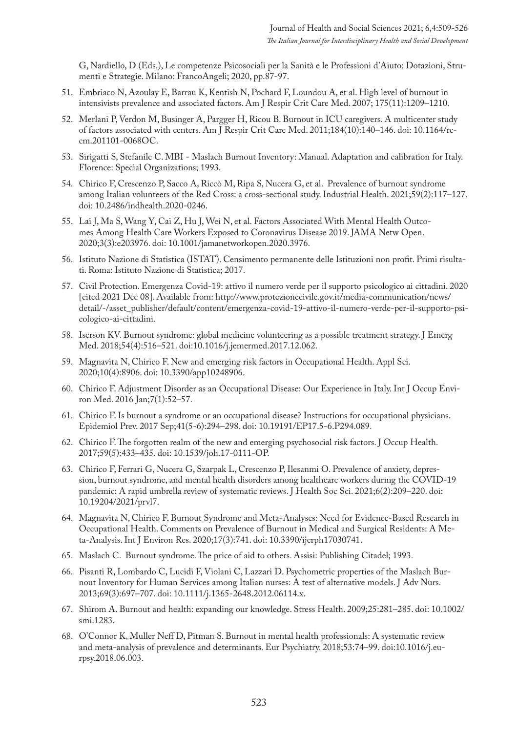G, Nardiello, D (Eds.), Le competenze Psicosociali per la Sanità e le Professioni d'Aiuto: Dotazioni, Strumenti e Strategie. Milano: FrancoAngeli; 2020, pp.87-97.

- 51. Embriaco N, Azoulay E, Barrau K, Kentish N, Pochard F, Loundou A, et al. High level of burnout in intensivists prevalence and associated factors. Am J Respir Crit Care Med. 2007; 175(11):1209–1210.
- 52. Merlani P, Verdon M, Businger A, Pargger H, Ricou B. Burnout in ICU caregivers. A multicenter study of factors associated with centers. Am J Respir Crit Care Med. 2011;184(10):140–146. doi: 10.1164/rccm.201101-0068OC.
- 53. Sirigatti S, Stefanile C. MBI Maslach Burnout Inventory: Manual. Adaptation and calibration for Italy. Florence: Special Organizations; 1993.
- 54. Chirico F, Crescenzo P, Sacco A, Riccò M, Ripa S, Nucera G, et al. Prevalence of burnout syndrome among Italian volunteers of the Red Cross: a cross-sectional study. Industrial Health. 2021;59(2):117–127. doi: 10.2486/indhealth.2020-0246.
- 55. Lai J, Ma S, Wang Y, Cai Z, Hu J, Wei N, et al. Factors Associated With Mental Health Outcomes Among Health Care Workers Exposed to Coronavirus Disease 2019. JAMA Netw Open. 2020;3(3):e203976. doi: 10.1001/jamanetworkopen.2020.3976.
- 56. Istituto Nazione di Statistica (ISTAT). Censimento permanente delle Istituzioni non profit. Primi risultati. Roma: Istituto Nazione di Statistica; 2017.
- 57. Civil Protection. Emergenza Covid-19: attivo il numero verde per il supporto psicologico ai cittadini. 2020 [cited 2021 Dec 08]. Available from: http://www.protezionecivile.gov.it/media-communication/news/ detail/-/asset\_publisher/default/content/emergenza-covid-19-attivo-il-numero-verde-per-il-supporto-psicologico-ai-cittadini.
- 58. Iserson KV. Burnout syndrome: global medicine volunteering as a possible treatment strategy. J Emerg Med. 2018;54(4):516–521. doi:10.1016/j.jemermed.2017.12.062.
- 59. Magnavita N, Chirico F. New and emerging risk factors in Occupational Health. Appl Sci. 2020;10(4):8906. doi: 10.3390/app10248906.
- 60. Chirico F. Adjustment Disorder as an Occupational Disease: Our Experience in Italy. Int J Occup Environ Med. 2016 Jan;7(1):52–57.
- 61. Chirico F. Is burnout a syndrome or an occupational disease? Instructions for occupational physicians. Epidemiol Prev. 2017 Sep;41(5-6):294–298. doi: 10.19191/EP17.5-6.P294.089.
- 62. Chirico F. The forgotten realm of the new and emerging psychosocial risk factors. J Occup Health. 2017;59(5):433–435. doi: 10.1539/joh.17-0111-OP.
- 63. Chirico F, Ferrari G, Nucera G, Szarpak L, Crescenzo P, Ilesanmi O. Prevalence of anxiety, depression, burnout syndrome, and mental health disorders among healthcare workers during the COVID-19 pandemic: A rapid umbrella review of systematic reviews. J Health Soc Sci. 2021;6(2):209–220. doi: 10.19204/2021/prvl7.
- 64. Magnavita N, Chirico F. Burnout Syndrome and Meta-Analyses: Need for Evidence-Based Research in Occupational Health. Comments on Prevalence of Burnout in Medical and Surgical Residents: A Meta-Analysis. Int J Environ Res. 2020;17(3):741. doi: 10.3390/ijerph17030741.
- 65. Maslach C. Burnout syndrome. The price of aid to others. Assisi: Publishing Citadel; 1993.
- 66. Pisanti R, Lombardo C, Lucidi F, Violani C, Lazzari D. Psychometric properties of the Maslach Burnout Inventory for Human Services among Italian nurses: A test of alternative models. J Adv Nurs. 2013;69(3):697–707. doi: 10.1111/j.1365-2648.2012.06114.x.
- 67. Shirom A. Burnout and health: expanding our knowledge. Stress Health. 2009;25:281–285. doi: 10.1002/ smi.1283.
- 68. O'Connor K, Muller Neff D, Pitman S. Burnout in mental health professionals: A systematic review and meta-analysis of prevalence and determinants. Eur Psychiatry. 2018;53:74–99. doi:10.1016/j.eurpsy.2018.06.003.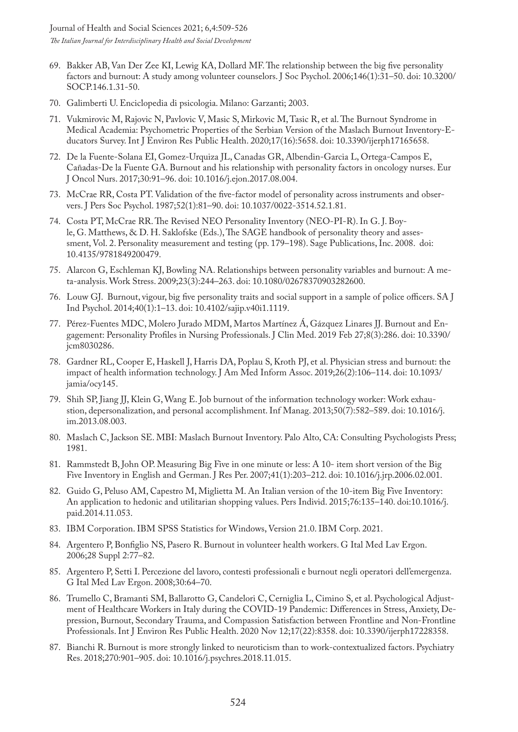- 69. Bakker AB, Van Der Zee KI, Lewig KA, Dollard MF. The relationship between the big five personality factors and burnout: A study among volunteer counselors. J Soc Psychol. 2006;146(1):31–50. doi: 10.3200/ SOCP.146.1.31-50.
- 70. Galimberti U. Enciclopedia di psicologia. Milano: Garzanti; 2003.
- 71. Vukmirovic M, Rajovic N, Pavlovic V, Masic S, Mirkovic M, Tasic R, et al. The Burnout Syndrome in Medical Academia: Psychometric Properties of the Serbian Version of the Maslach Burnout Inventory-Educators Survey. Int J Environ Res Public Health. 2020;17(16):5658. doi: 10.3390/ijerph17165658.
- 72. De la Fuente-Solana EI, Gomez-Urquiza JL, Canadas GR, Albendin-Garcia L, Ortega-Campos E, Cañadas-De la Fuente GA. Burnout and his relationship with personality factors in oncology nurses. Eur J Oncol Nurs. 2017;30:91–96. doi: 10.1016/j.ejon.2017.08.004.
- 73. McCrae RR, Costa PT. Validation of the five-factor model of personality across instruments and observers. J Pers Soc Psychol. 1987;52(1):81–90. doi: 10.1037/0022-3514.52.1.81.
- 74. Costa PT, McCrae RR. The Revised NEO Personality Inventory (NEO-PI-R). In G. J. Boyle, G. Matthews, & D. H. Saklofske (Eds.), The SAGE handbook of personality theory and assessment, Vol. 2. Personality measurement and testing (pp. 179–198). Sage Publications, Inc. 2008. doi: 10.4135/9781849200479.
- 75. Alarcon G, Eschleman KJ, Bowling NA. Relationships between personality variables and burnout: A meta-analysis. Work Stress. 2009;23(3):244–263. doi: 10.1080/02678370903282600.
- 76. Louw GJ. Burnout, vigour, big five personality traits and social support in a sample of police officers. SA J Ind Psychol. 2014;40(1):1–13. doi: 10.4102/sajip.v40i1.1119.
- 77. Pérez-Fuentes MDC, Molero Jurado MDM, Martos Martínez Á, Gázquez Linares JJ. Burnout and Engagement: Personality Profiles in Nursing Professionals. J Clin Med. 2019 Feb 27;8(3):286. doi: 10.3390/ jcm8030286.
- 78. Gardner RL, Cooper E, Haskell J, Harris DA, Poplau S, Kroth PJ, et al. Physician stress and burnout: the impact of health information technology. J Am Med Inform Assoc. 2019;26(2):106–114. doi: 10.1093/ jamia/ocy145.
- 79. Shih SP, Jiang JJ, Klein G, Wang E. Job burnout of the information technology worker: Work exhaustion, depersonalization, and personal accomplishment. Inf Manag. 2013;50(7):582–589. doi: 10.1016/j. im.2013.08.003.
- 80. Maslach C, Jackson SE. MBI: Maslach Burnout Inventory. Palo Alto, CA: Consulting Psychologists Press; 1981.
- 81. Rammstedt B, John OP. Measuring Big Five in one minute or less: A 10- item short version of the Big Five Inventory in English and German. J Res Per. 2007;41(1):203–212. doi: 10.1016/j.jrp.2006.02.001.
- 82. Guido G, Peluso AM, Capestro M, Miglietta M. An Italian version of the 10-item Big Five Inventory: An application to hedonic and utilitarian shopping values. Pers Individ. 2015;76:135–140. doi:10.1016/j. paid.2014.11.053.
- 83. IBM Corporation. IBM SPSS Statistics for Windows, Version 21.0. IBM Corp. 2021.
- 84. Argentero P, Bonfiglio NS, Pasero R. Burnout in volunteer health workers. G Ital Med Lav Ergon. 2006;28 Suppl 2:77–82.
- 85. Argentero P, Setti I. Percezione del lavoro, contesti professionali e burnout negli operatori dell'emergenza. G Ital Med Lav Ergon. 2008;30:64–70.
- 86. Trumello C, Bramanti SM, Ballarotto G, Candelori C, Cerniglia L, Cimino S, et al. Psychological Adjustment of Healthcare Workers in Italy during the COVID-19 Pandemic: Differences in Stress, Anxiety, Depression, Burnout, Secondary Trauma, and Compassion Satisfaction between Frontline and Non-Frontline Professionals. Int J Environ Res Public Health. 2020 Nov 12;17(22):8358. doi: 10.3390/ijerph17228358.
- 87. Bianchi R. Burnout is more strongly linked to neuroticism than to work-contextualized factors. Psychiatry Res. 2018;270:901–905. doi: 10.1016/j.psychres.2018.11.015.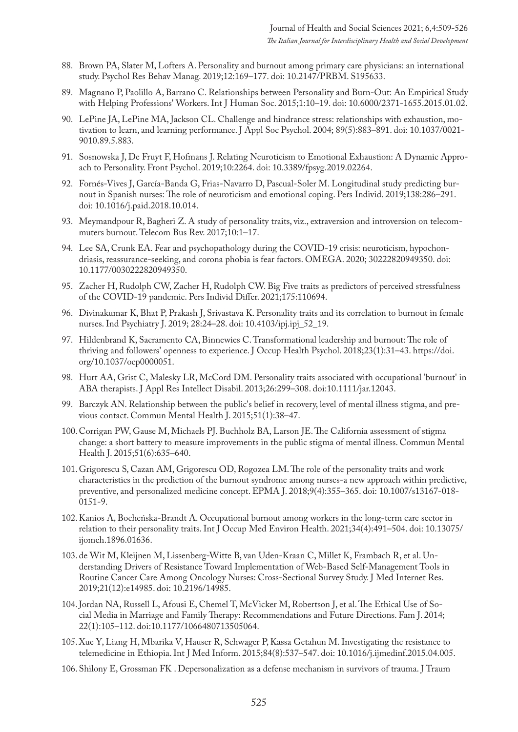- 88. Brown PA, Slater M, Lofters A. Personality and burnout among primary care physicians: an international study. Psychol Res Behav Manag. 2019;12:169–177. doi: 10.2147/PRBM. S195633.
- 89. Magnano P, Paolillo A, Barrano C. Relationships between Personality and Burn-Out: An Empirical Study with Helping Professions' Workers. Int J Human Soc. 2015;1:10–19. doi: 10.6000/2371-1655.2015.01.02.
- 90. LePine JA, LePine MA, Jackson CL. Challenge and hindrance stress: relationships with exhaustion, motivation to learn, and learning performance. J Appl Soc Psychol. 2004; 89(5):883–891. doi: 10.1037/0021- 9010.89.5.883.
- 91. Sosnowska J, De Fruyt F, Hofmans J. Relating Neuroticism to Emotional Exhaustion: A Dynamic Approach to Personality. Front Psychol. 2019;10:2264. doi: 10.3389/fpsyg.2019.02264.
- 92. Fornés-Vives J, García-Banda G, Frias-Navarro D, Pascual-Soler M. Longitudinal study predicting burnout in Spanish nurses: The role of neuroticism and emotional coping. Pers Individ. 2019;138:286–291. doi: 10.1016/j.paid.2018.10.014.
- 93. Meymandpour R, Bagheri Z. A study of personality traits, viz., extraversion and introversion on telecommuters burnout. Telecom Bus Rev. 2017;10:1–17.
- 94. Lee SA, Crunk EA. Fear and psychopathology during the COVID-19 crisis: neuroticism, hypochondriasis, reassurance-seeking, and corona phobia is fear factors. OMEGA. 2020; 30222820949350. doi: 10.1177/0030222820949350.
- 95. Zacher H, Rudolph CW, Zacher H, Rudolph CW. Big Five traits as predictors of perceived stressfulness of the COVID-19 pandemic. Pers Individ Differ. 2021;175:110694.
- 96. Divinakumar K, Bhat P, Prakash J, Srivastava K. Personality traits and its correlation to burnout in female nurses. Ind Psychiatry J. 2019; 28:24–28. doi: 10.4103/ipj.ipj\_52\_19.
- 97. Hildenbrand K, Sacramento CA, Binnewies C. Transformational leadership and burnout: The role of thriving and followers' openness to experience. J Occup Health Psychol. 2018;23(1):31–43. https://doi. org/10.1037/ocp0000051.
- 98. Hurt AA, Grist C, Malesky LR, McCord DM. Personality traits associated with occupational 'burnout' in ABA therapists. J Appl Res Intellect Disabil. 2013;26:299–308. doi:10.1111/jar.12043.
- 99. Barczyk AN. Relationship between the public's belief in recovery, level of mental illness stigma, and previous contact. Commun Mental Health J. 2015;51(1):38–47.
- 100.Corrigan PW, Gause M, Michaels PJ. Buchholz BA, Larson JE. The California assessment of stigma change: a short battery to measure improvements in the public stigma of mental illness. Commun Mental Health J. 2015;51(6):635–640.
- 101.Grigorescu S, Cazan AM, Grigorescu OD, Rogozea LM. The role of the personality traits and work characteristics in the prediction of the burnout syndrome among nurses-a new approach within predictive, preventive, and personalized medicine concept. EPMA J. 2018;9(4):355–365. doi: 10.1007/s13167-018- 0151-9.
- 102.Kanios A, Bocheńska-Brandt A. Occupational burnout among workers in the long-term care sector in relation to their personality traits. Int J Occup Med Environ Health. 2021;34(4):491–504. doi: 10.13075/ ijomeh.1896.01636.
- 103. de Wit M, Kleijnen M, Lissenberg-Witte B, van Uden-Kraan C, Millet K, Frambach R, et al. Understanding Drivers of Resistance Toward Implementation of Web-Based Self-Management Tools in Routine Cancer Care Among Oncology Nurses: Cross-Sectional Survey Study. J Med Internet Res. 2019;21(12):e14985. doi: 10.2196/14985.
- 104.Jordan NA, Russell L, Afousi E, Chemel T, McVicker M, Robertson J, et al. The Ethical Use of Social Media in Marriage and Family Therapy: Recommendations and Future Directions. Fam J. 2014; 22(1):105–112. doi:10.1177/1066480713505064.
- 105.Xue Y, Liang H, Mbarika V, Hauser R, Schwager P, Kassa Getahun M. Investigating the resistance to telemedicine in Ethiopia. Int J Med Inform. 2015;84(8):537–547. doi: 10.1016/j.ijmedinf.2015.04.005.
- 106.Shilony E, Grossman FK . Depersonalization as a defense mechanism in survivors of trauma. J Traum